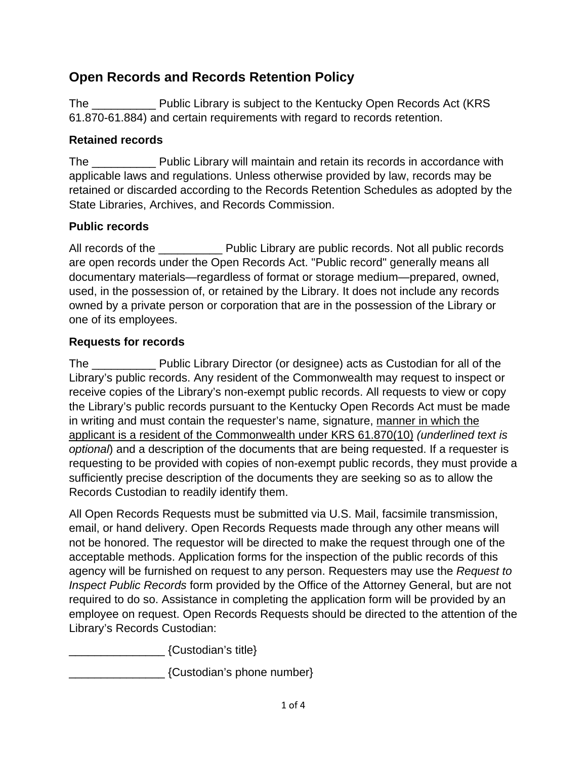# **Open Records and Records Retention Policy**

The \_\_\_\_\_\_\_\_\_\_ Public Library is subject to the Kentucky Open Records Act (KRS 61.870-61.884) and certain requirements with regard to records retention.

### **Retained records**

The **Example 20** Public Library will maintain and retain its records in accordance with applicable laws and regulations. Unless otherwise provided by law, records may be retained or discarded according to the Records Retention Schedules as adopted by the State Libraries, Archives, and Records Commission.

### **Public records**

All records of the **Example 20** Public Library are public records. Not all public records are open records under the Open Records Act. "Public record" generally means all documentary materials—regardless of format or storage medium—prepared, owned, used, in the possession of, or retained by the Library. It does not include any records owned by a private person or corporation that are in the possession of the Library or one of its employees.

### **Requests for records**

The \_\_\_\_\_\_\_\_\_\_ Public Library Director (or designee) acts as Custodian for all of the Library's public records. Any resident of the Commonwealth may request to inspect or receive copies of the Library's non-exempt public records. All requests to view or copy the Library's public records pursuant to the Kentucky Open Records Act must be made in writing and must contain the requester's name, signature, manner in which the applicant is a resident of the Commonwealth under KRS 61.870(10) *(underlined text is optional*) and a description of the documents that are being requested. If a requester is requesting to be provided with copies of non-exempt public records, they must provide a sufficiently precise description of the documents they are seeking so as to allow the Records Custodian to readily identify them.

All Open Records Requests must be submitted via U.S. Mail, facsimile transmission, email, or hand delivery. Open Records Requests made through any other means will not be honored. The requestor will be directed to make the request through one of the acceptable methods. Application forms for the inspection of the public records of this agency will be furnished on request to any person. Requesters may use the *Request to Inspect Public Records* form provided by the Office of the Attorney General, but are not required to do so. Assistance in completing the application form will be provided by an employee on request. Open Records Requests should be directed to the attention of the Library's Records Custodian:

\_\_\_\_\_\_\_\_\_\_\_\_\_\_\_ {Custodian's title}

\_\_\_\_\_\_\_\_\_\_\_\_\_\_\_ {Custodian's phone number}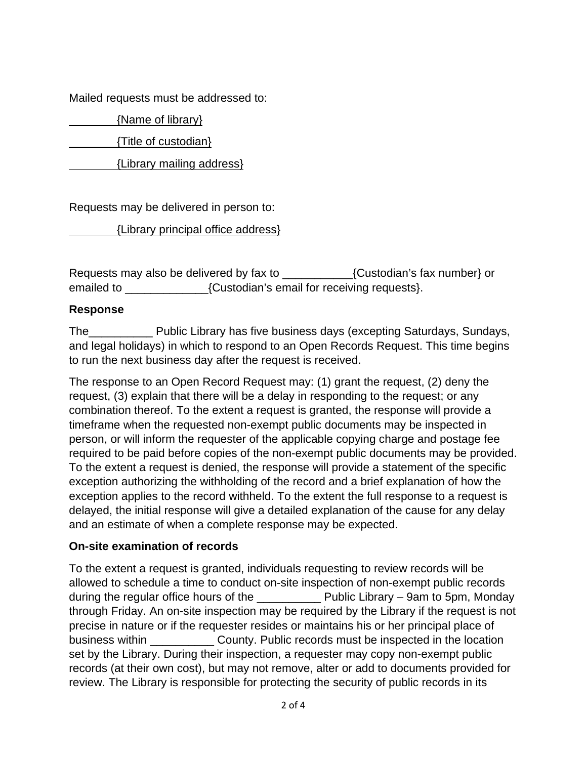Mailed requests must be addressed to:

{Name of library}

{Title of custodian}

{Library mailing address}

Requests may be delivered in person to:

{Library principal office address}

Requests may also be delivered by fax to \_\_\_\_\_\_\_\_\_\_\_{Custodian's fax number} or emailed to \_\_\_\_\_\_\_\_\_\_\_\_\_\_\_\_\_{Custodian's email for receiving requests}.

#### **Response**

The\_\_\_\_\_\_\_\_\_\_ Public Library has five business days (excepting Saturdays, Sundays, and legal holidays) in which to respond to an Open Records Request. This time begins to run the next business day after the request is received.

The response to an Open Record Request may: (1) grant the request, (2) deny the request, (3) explain that there will be a delay in responding to the request; or any combination thereof. To the extent a request is granted, the response will provide a timeframe when the requested non-exempt public documents may be inspected in person, or will inform the requester of the applicable copying charge and postage fee required to be paid before copies of the non-exempt public documents may be provided. To the extent a request is denied, the response will provide a statement of the specific exception authorizing the withholding of the record and a brief explanation of how the exception applies to the record withheld. To the extent the full response to a request is delayed, the initial response will give a detailed explanation of the cause for any delay and an estimate of when a complete response may be expected.

#### **On-site examination of records**

To the extent a request is granted, individuals requesting to review records will be allowed to schedule a time to conduct on-site inspection of non-exempt public records during the regular office hours of the **Example 20 Public Library – 9am to 5pm, Monday** through Friday. An on-site inspection may be required by the Library if the request is not precise in nature or if the requester resides or maintains his or her principal place of business within **Example 20 County.** Public records must be inspected in the location set by the Library. During their inspection, a requester may copy non-exempt public records (at their own cost), but may not remove, alter or add to documents provided for review. The Library is responsible for protecting the security of public records in its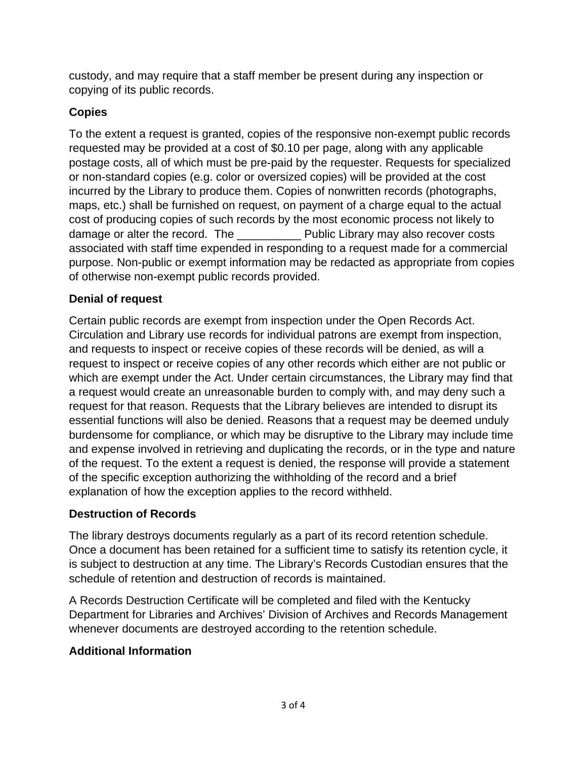custody, and may require that a staff member be present during any inspection or copying of its public records.

# **Copies**

To the extent a request is granted, copies of the responsive non-exempt public records requested may be provided at a cost of \$0.10 per page, along with any applicable postage costs, all of which must be pre-paid by the requester. Requests for specialized or non-standard copies (e.g. color or oversized copies) will be provided at the cost incurred by the Library to produce them. Copies of nonwritten records (photographs, maps, etc.) shall be furnished on request, on payment of a charge equal to the actual cost of producing copies of such records by the most economic process not likely to damage or alter the record. The **Example 20 Public Library may also recover costs** associated with staff time expended in responding to a request made for a commercial purpose. Non-public or exempt information may be redacted as appropriate from copies of otherwise non-exempt public records provided.

# **Denial of request**

Certain public records are exempt from inspection under the Open Records Act. Circulation and Library use records for individual patrons are exempt from inspection, and requests to inspect or receive copies of these records will be denied, as will a request to inspect or receive copies of any other records which either are not public or which are exempt under the Act. Under certain circumstances, the Library may find that a request would create an unreasonable burden to comply with, and may deny such a request for that reason. Requests that the Library believes are intended to disrupt its essential functions will also be denied. Reasons that a request may be deemed unduly burdensome for compliance, or which may be disruptive to the Library may include time and expense involved in retrieving and duplicating the records, or in the type and nature of the request. To the extent a request is denied, the response will provide a statement of the specific exception authorizing the withholding of the record and a brief explanation of how the exception applies to the record withheld.

# **Destruction of Records**

The library destroys documents regularly as a part of its record retention schedule. Once a document has been retained for a sufficient time to satisfy its retention cycle, it is subject to destruction at any time. The Library's Records Custodian ensures that the schedule of retention and destruction of records is maintained.

A Records Destruction Certificate will be completed and filed with the Kentucky Department for Libraries and Archives' Division of Archives and Records Management whenever documents are destroyed according to the retention schedule.

# **Additional Information**